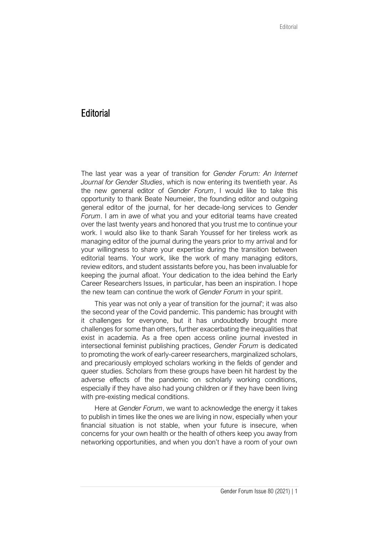## **Editorial**

The last year was a year of transition for *Gender Forum: An Internet Journal for Gender Studies*, which is now entering its twentieth year. As the new general editor of *Gender Forum*, I would like to take this opportunity to thank Beate Neumeier, the founding editor and outgoing general editor of the journal, for her decade-long services to *Gender Forum*. I am in awe of what you and your editorial teams have created over the last twenty years and honored that you trust me to continue your work. I would also like to thank Sarah Youssef for her tireless work as managing editor of the journal during the years prior to my arrival and for your willingness to share your expertise during the transition between editorial teams. Your work, like the work of many managing editors, review editors, and student assistants before you, has been invaluable for keeping the journal afloat. Your dedication to the idea behind the Early Career Researchers Issues, in particular, has been an inspiration. I hope the new team can continue the work of *Gender Forum* in your spirit.

This year was not only a year of transition for the journal'; it was also the second year of the Covid pandemic. This pandemic has brought with it challenges for everyone, but it has undoubtedly brought more challenges for some than others, further exacerbating the inequalities that exist in academia. As a free open access online journal invested in intersectional feminist publishing practices, *Gender Forum* is dedicated to promoting the work of early-career researchers, marginalized scholars, and precariously employed scholars working in the fields of gender and queer studies. Scholars from these groups have been hit hardest by the adverse effects of the pandemic on scholarly working conditions, especially if they have also had young children or if they have been living with pre-existing medical conditions.

Here at *Gender Forum*, we want to acknowledge the energy it takes to publish in times like the ones we are living in now, especially when your financial situation is not stable, when your future is insecure, when concerns for your own health or the health of others keep you away from networking opportunities, and when you don't have a room of your own